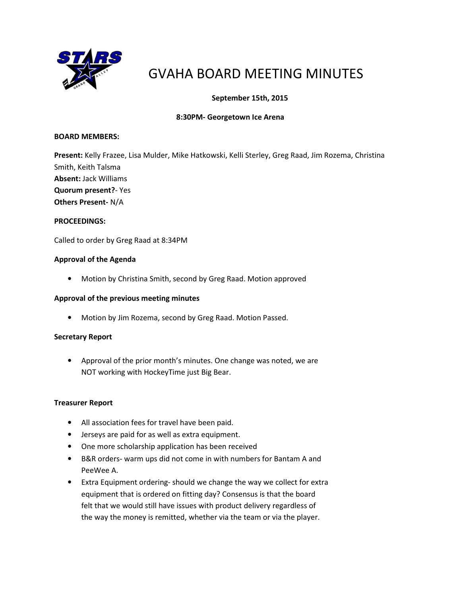

# GVAHA BOARD MEETING MINUTES

## September 15th, 2015

## 8:30PM- Georgetown Ice Arena

#### BOARD MEMBERS:

Present: Kelly Frazee, Lisa Mulder, Mike Hatkowski, Kelli Sterley, Greg Raad, Jim Rozema, Christina Smith, Keith Talsma Absent: Jack Williams Quorum present?- Yes Others Present- N/A

#### PROCEEDINGS:

Called to order by Greg Raad at 8:34PM

#### Approval of the Agenda

• Motion by Christina Smith, second by Greg Raad. Motion approved

#### Approval of the previous meeting minutes

• Motion by Jim Rozema, second by Greg Raad. Motion Passed.

#### Secretary Report

• Approval of the prior month's minutes. One change was noted, we are NOT working with HockeyTime just Big Bear.

#### Treasurer Report

- All association fees for travel have been paid.
- Jerseys are paid for as well as extra equipment.
- One more scholarship application has been received
- B&R orders- warm ups did not come in with numbers for Bantam A and PeeWee A.
- Extra Equipment ordering- should we change the way we collect for extra equipment that is ordered on fitting day? Consensus is that the board felt that we would still have issues with product delivery regardless of the way the money is remitted, whether via the team or via the player.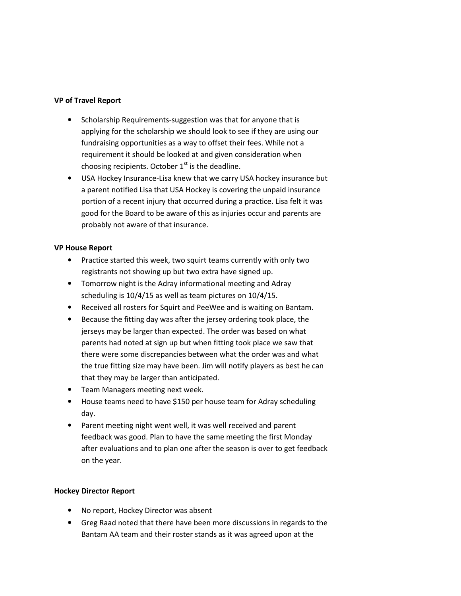### VP of Travel Report

- Scholarship Requirements-suggestion was that for anyone that is applying for the scholarship we should look to see if they are using our fundraising opportunities as a way to offset their fees. While not a requirement it should be looked at and given consideration when choosing recipients. October  $1<sup>st</sup>$  is the deadline.
- USA Hockey Insurance-Lisa knew that we carry USA hockey insurance but a parent notified Lisa that USA Hockey is covering the unpaid insurance portion of a recent injury that occurred during a practice. Lisa felt it was good for the Board to be aware of this as injuries occur and parents are probably not aware of that insurance.

#### VP House Report

- Practice started this week, two squirt teams currently with only two registrants not showing up but two extra have signed up.
- Tomorrow night is the Adray informational meeting and Adray scheduling is 10/4/15 as well as team pictures on 10/4/15.
- Received all rosters for Squirt and PeeWee and is waiting on Bantam.
- Because the fitting day was after the jersey ordering took place, the jerseys may be larger than expected. The order was based on what parents had noted at sign up but when fitting took place we saw that there were some discrepancies between what the order was and what the true fitting size may have been. Jim will notify players as best he can that they may be larger than anticipated.
- Team Managers meeting next week.
- House teams need to have \$150 per house team for Adray scheduling day.
- Parent meeting night went well, it was well received and parent feedback was good. Plan to have the same meeting the first Monday after evaluations and to plan one after the season is over to get feedback on the year.

## Hockey Director Report

- No report, Hockey Director was absent
- Greg Raad noted that there have been more discussions in regards to the Bantam AA team and their roster stands as it was agreed upon at the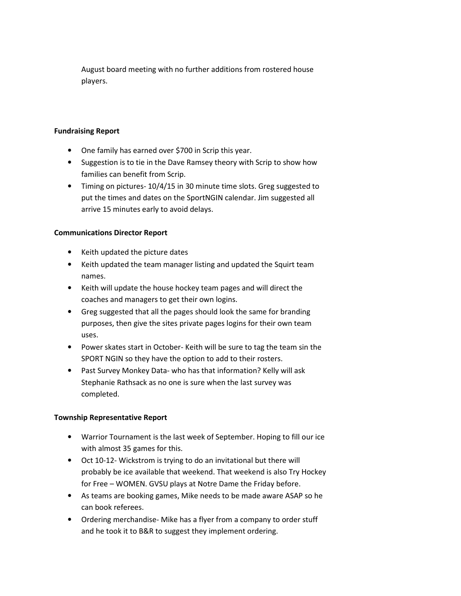August board meeting with no further additions from rostered house players.

## Fundraising Report

- One family has earned over \$700 in Scrip this year.
- Suggestion is to tie in the Dave Ramsey theory with Scrip to show how families can benefit from Scrip.
- Timing on pictures- 10/4/15 in 30 minute time slots. Greg suggested to put the times and dates on the SportNGIN calendar. Jim suggested all arrive 15 minutes early to avoid delays.

## Communications Director Report

- Keith updated the picture dates
- Keith updated the team manager listing and updated the Squirt team names.
- Keith will update the house hockey team pages and will direct the coaches and managers to get their own logins.
- Greg suggested that all the pages should look the same for branding purposes, then give the sites private pages logins for their own team uses.
- Power skates start in October- Keith will be sure to tag the team sin the SPORT NGIN so they have the option to add to their rosters.
- Past Survey Monkey Data- who has that information? Kelly will ask Stephanie Rathsack as no one is sure when the last survey was completed.

## Township Representative Report

- Warrior Tournament is the last week of September. Hoping to fill our ice with almost 35 games for this.
- Oct 10-12- Wickstrom is trying to do an invitational but there will probably be ice available that weekend. That weekend is also Try Hockey for Free – WOMEN. GVSU plays at Notre Dame the Friday before.
- As teams are booking games, Mike needs to be made aware ASAP so he can book referees.
- Ordering merchandise- Mike has a flyer from a company to order stuff and he took it to B&R to suggest they implement ordering.